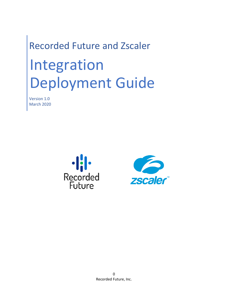# Recorded Future and Zscaler Integration Deployment Guide

Version 1.0 March 2020



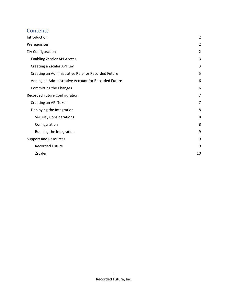## **Contents**

| Introduction                                         | $\overline{2}$ |
|------------------------------------------------------|----------------|
| Prerequisites                                        | $\overline{2}$ |
| ZIA Configuration                                    | $\overline{2}$ |
| <b>Enabling Zscaler API Access</b>                   | 3              |
| Creating a Zscaler API Key                           | 3              |
| Creating an Administrative Role for Recorded Future  | 5              |
| Adding an Administrative Account for Recorded Future | 6              |
| Committing the Changes                               | 6              |
| Recorded Future Configuration                        | 7              |
| Creating an API Token                                | 7              |
| Deploying the Integration                            | 8              |
| <b>Security Considerations</b>                       | 8              |
| Configuration                                        | 8              |
| Running the Integration                              | 9              |
| <b>Support and Resources</b>                         | 9              |
| <b>Recorded Future</b>                               | 9              |
| Zscaler                                              | 10             |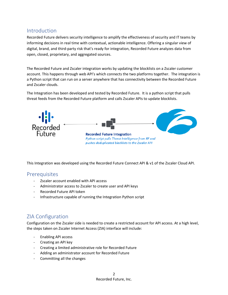## <span id="page-2-0"></span>Introduction

Recorded Future delivers security intelligence to amplify the effectiveness of security and IT teams by informing decisions in real time with contextual, actionable intelligence. Offering a singular view of digital, brand, and third-party risk that's ready for integration, Recorded Future analyzes data from open, closed, proprietary, and aggregated sources.

The Recorded Future and Zscaler integration works by updating the blocklists on a Zscaler customer account. This happens through web API's which connects the two platforms together. The integration is a Python script that can run on a server anywhere that has connectivity between the Recorded Future and Zscaler clouds.

The Integration has been developed and tested by Recorded Future. It is a python script that pulls threat feeds from the Recorded Future platform and calls Zscaler APIs to update blocklists.



This Integration was developed using the Recorded Future Connect API & v1 of the Zscaler Cloud API.

## <span id="page-2-1"></span>**Prerequisites**

- Zscaler account enabled with API access
- Administrator access to Zscaler to create user and API keys
- Recorded Future API token
- Infrastructure capable of running the Integration Python script

# <span id="page-2-2"></span>ZIA Configuration

Configuration on the Zscaler side is needed to create a restricted account for API access. At a high level, the steps taken on Zscaler Internet Access (ZIA) interface will include:

- Enabling API access
- Creating an API key
- Creating a limited administrative role for Recorded Future
- Adding an administrator account for Recorded Future
- Committing all the changes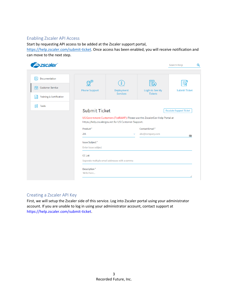#### <span id="page-3-0"></span>Enabling Zscaler API Access

Start by requesting API access to be added at the Zscaler support portal,

[https://help.zscaler.com/submit-ticket.](https://help.zscaler.com/submit-ticket) Once access has been enabled, you will receive notification and can move to the next step.

| <b>Szscaler</b>                                                                      |                                                                  |                                                      |                                                                                               | Search Help                    |
|--------------------------------------------------------------------------------------|------------------------------------------------------------------|------------------------------------------------------|-----------------------------------------------------------------------------------------------|--------------------------------|
| 屌<br>Documentation<br>⑭<br><b>Customer Service</b><br>Training & Certification<br>١÷ | <b>Phone Support</b>                                             | Deployment<br><b>Services</b>                        | ⊴ء<br>Login to See My<br><b>Tickets</b>                                                       | <b>Submit Ticket</b>           |
| ÔĐ<br><b>Tools</b>                                                                   | <b>Submit Ticket</b><br>Product*                                 | https://help.zscalergov.net for US Customer Support. | US Government Customers (FedRAMP): Please use the ZscalerGov Help Portal at<br>Contact Email* | <b>Escalate Support Ticket</b> |
|                                                                                      | ZIA<br>Issue Subject*<br>Enter issue subject                     | $\checkmark$                                         | abc@company.com                                                                               | 咀                              |
|                                                                                      | <b>CC List</b><br>Seperate multiple email addresses with a comma |                                                      |                                                                                               |                                |

#### <span id="page-3-1"></span>Creating a Zscaler API Key

First, we will setup the Zscaler side of this service. Log into Zscaler portal using your administrator account. If you are unable to log in using your administrator account, contact support at https://help.zscaler.com/submit-ticket.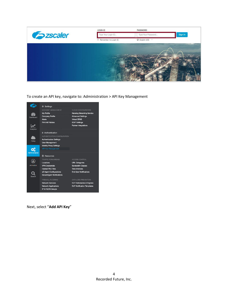

To create an API key, navigate to: Administration > API Key Management



Next, select "**Add API Key**"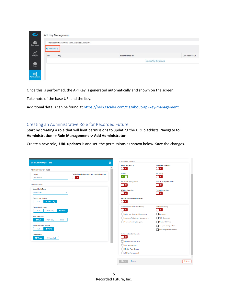| 6                                            |               | API Key Management                                        |                  |                         |                  |
|----------------------------------------------|---------------|-----------------------------------------------------------|------------------|-------------------------|------------------|
| ☎                                            |               |                                                           |                  |                         |                  |
| Dashboard                                    |               | The base URI for your API is admin.zscalerbeta.net/api/v1 |                  |                         |                  |
|                                              | O Add API Key |                                                           |                  |                         |                  |
| $\boldsymbol{\nu}$                           |               |                                                           |                  |                         |                  |
| Analytics                                    | No.           | Key                                                       | Last Modified By |                         | Last Modified On |
|                                              |               |                                                           |                  | No matching items found |                  |
| Policy                                       |               |                                                           |                  |                         |                  |
|                                              |               |                                                           |                  |                         |                  |
|                                              |               |                                                           |                  |                         |                  |
| $\alpha^{\alpha}_{\alpha}$<br>Administration |               |                                                           |                  |                         |                  |
|                                              |               |                                                           |                  |                         |                  |

Once this is performed, the API Key is generated automatically and shown on the screen.

Take note of the base URI and the Key.

Additional details can be found at [https://help.zscaler.com/zia/about-api-key-management.](https://help.zscaler.com/zia/about-api-key-management)

#### <span id="page-5-0"></span>Creating an Administrative Role for Recorded Future

Start by creating a role that will limit permissions to updating the URL blacklists. Navigate to: **Administration -> Role Management -> Add Administrator**.

Create a new role, **URL-updates** is and set the permissions as shown below. Save the changes.

| <b>Edit Administrator Role</b>                                | ×                                                            | <b>FUNCTIONAL SCOPE</b><br><b>Advanced Settings</b>                     | <b>Data Loss Prevention</b>                        |
|---------------------------------------------------------------|--------------------------------------------------------------|-------------------------------------------------------------------------|----------------------------------------------------|
| <b>ADMINISTRATOR ROLE</b>                                     |                                                              | $\blacksquare$ x                                                        | $\bullet$ x                                        |
| Name<br>URL-updates                                           | Enable Permissions for Executive Insights App<br>$\bullet x$ | Security<br>kπ                                                          | <b>SSL Policy</b><br>$\blacksquare$ $\times$       |
| <b>PERMISSIONS</b>                                            |                                                              | <b>Virtual ZEN Configuration</b><br>$\bullet$ x                         | Firewall, DNAT, DNS & IPS<br>$\Box$ x              |
| Logs Limit (Days)<br>Unrestricted<br>$\checkmark$             |                                                              | <b>NSS Configuration</b><br>$\bullet$ $\times$                          | Partner Integration<br>$\mathbf{r}$                |
| <b>Dashboard Access</b><br><b>O</b> View Only<br>Full         |                                                              | Remote Assistance Management<br>$\blacksquare$ $\times$                 |                                                    |
| <b>Reporting Access</b><br><b>O</b> None<br>Full<br>View Only |                                                              | Access Control (Web and Mobile)<br>$\pmb{\times}$                       | <b>Traffic Forwarding</b><br>$\pmb{\times}$        |
| <b>Policy Access</b><br>$O$ Full<br>View Only<br>None         |                                                              | Policy and Resource Management<br>Custom URL Category Management<br>- 1 | Locations<br><b>VPN Credentials</b>                |
| <b>Administrators Access</b>                                  |                                                              | Override Existing Categories                                            | <b>Hosted PAC Files</b><br>eZ Agent Configurations |
| <b>O</b> None<br>Full<br><b>User Names</b>                    |                                                              | <b>Authentication Configuration</b>                                     | <b>SecureAgent Notifications</b>                   |
| <b>O</b> Visible<br>Obfuscated                                |                                                              | $\pmb{\times}$<br>Authentication Settings                               |                                                    |
|                                                               |                                                              | User Management<br>Identity Proxy Settings                              |                                                    |
|                                                               |                                                              | API Key Management                                                      |                                                    |
|                                                               |                                                              | Save<br>Cancel                                                          |                                                    |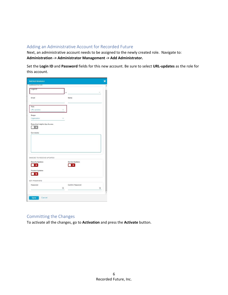#### <span id="page-6-0"></span>Adding an Administrative Account for Recorded Future

Next, an administrative account needs to be assigned to the newly created role. Navigate to: **Administration -> Administrator Management -> Add Administrator.**

Set the **Login ID** and **Password** fields for this new account. Be sure to select **URL-updates** as the role for this account.

| <b>ADMINISTRATOR</b>                                     |              |                  |          |
|----------------------------------------------------------|--------------|------------------|----------|
| Login ID                                                 |              | ø                | $\omega$ |
| Email                                                    |              | Name             |          |
| Role<br>URL-updates                                      |              |                  |          |
| Scope<br>Organization                                    | $\checkmark$ |                  |          |
| Executive Insights App Access<br>Comments                |              |                  |          |
|                                                          |              |                  |          |
| CHOOSE TO RECEIVE UPDATES<br><b>Security Updates</b>     |              | Service Updates  |          |
| ×<br><b>Product Updates</b><br>$\boldsymbol{\mathsf{x}}$ |              | $\mathbf x$      |          |
| SET PASSWORD                                             |              |                  |          |
| Password                                                 | ۵            | Confirm Password | ⊕        |
|                                                          |              |                  |          |

#### <span id="page-6-1"></span>Committing the Changes

To activate all the changes, go to **Activation** and press the **Activate** button.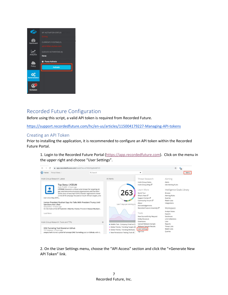

## <span id="page-7-0"></span>Recorded Future Configuration

Before using this script, a valid API token is required from Recorded Future.

<https://support.recordedfuture.com/hc/en-us/articles/115004179227-Managing-API-tokens>

#### <span id="page-7-1"></span>Creating an API Token

Prior to installing the application, it is recommended to configure an API token within the Recorded Future Portal.

1. Login to the Recorded Future Portal [\(https://app.recordedfuture.com\)](https://app.recordedfuture.com/). Click on the menu in the upper right and choose "User Settings".



2. On the User Settings menu, choose the "API Access" section and click the "+Generate New API Token" link.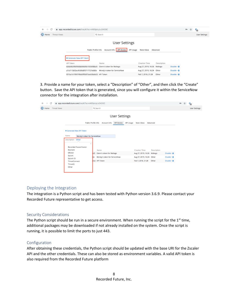| $\cdot$    $\cdot$ Home | Threat Views                            | Q Search                                         |                             |             |                        | <b>User Settings</b> |
|-------------------------|-----------------------------------------|--------------------------------------------------|-----------------------------|-------------|------------------------|----------------------|
|                         |                                         |                                                  | <b>User Settings</b>        |             |                        |                      |
|                         |                                         | Public Profile Info<br>Account Info   API Access | API Usage<br>Note Inbox     | Advanced    |                        |                      |
|                         | + Generate New API Token                |                                                  |                             |             |                        |                      |
|                         | API Token                               | Name                                             | Creation Time               | Description |                        |                      |
|                         |                                         | Glenn's token for Maltego                        | Aug 27, 2019, 16:26 Maltego |             | Disable · <sup>m</sup> |                      |
|                         |                                         |                                                  |                             |             | Disable · 0            |                      |
|                         | Likely, cars, with detection to the El- | Wendy's token for ServiceNow                     | Aug 27, 2019, 16:24 Other   |             |                        |                      |

3. Provide a name for your token, select a "Description" of "Other", and then click the "Create" button. Save the API token that is generated, since you will configure it within the ServiceNow connector for the integration after installation.

| C<br>$\rightarrow$<br>$\leftarrow$             | app.recordedfuture.com/live/#/?sc=k493picyLx2ADGC                                                                                                                                                                       |                                                                                                                                                                                                                                                                      | 07 ☆<br>喘            |
|------------------------------------------------|-------------------------------------------------------------------------------------------------------------------------------------------------------------------------------------------------------------------------|----------------------------------------------------------------------------------------------------------------------------------------------------------------------------------------------------------------------------------------------------------------------|----------------------|
| $\cdot$    $\cdot$ Home<br><b>Threat Views</b> |                                                                                                                                                                                                                         | Q Search                                                                                                                                                                                                                                                             | <b>User Settings</b> |
|                                                |                                                                                                                                                                                                                         | <b>User Settings</b>                                                                                                                                                                                                                                                 |                      |
|                                                |                                                                                                                                                                                                                         | Public Profile Info<br>API Access API Usage<br>Account Info<br>Note Inbox<br>Advanced                                                                                                                                                                                |                      |
|                                                | + Generate New API Token<br>Name<br>Wendy's token for ServiceNow<br>Other<br>Description<br>$\mathbb{R}^2$<br>Recorded Future Fusion<br>Resilient<br>QRadar<br>Splunk<br>Splunk ES<br>ThreatConnect<br>ThreatQ<br>Other | <b>Creation Time</b><br>Description<br>Name<br>Glenn's token for Maltego<br>Aug 27, 2019, 16:26 Maltego<br>Disable · 自<br>Wendy's token for ServiceNow<br>Disable · <i>O</i><br>Aug 27, 2019, 16:24 Other<br>API Token<br>Disable · 自<br>Feb 7, 2018, 21:28<br>Other |                      |
|                                                |                                                                                                                                                                                                                         |                                                                                                                                                                                                                                                                      |                      |

#### <span id="page-8-0"></span>Deploying the Integration

The integration is a Python script and has been tested with Python version 3.6.9. Please contact your Recorded Future representative to get access.

#### <span id="page-8-1"></span>Security Considerations

The Python script should be run in a secure environment. When running the script for the  $1<sup>st</sup>$  time, additional packages may be downloaded if not already installed on the system. Once the script is running, it is possible to limit the ports to just 443.

#### <span id="page-8-2"></span>Configuration

After obtaining these credentials, the Python script should be updated with the base URI for the Zscaler API and the other credentials. These can also be stored as environment variables. A valid API token is also required from the Recorded Future platform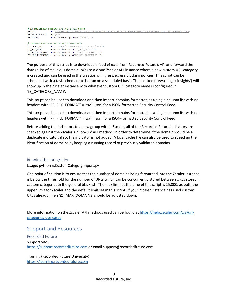|                | # RF malicious domains API URI & API token                                                             |  |
|----------------|--------------------------------------------------------------------------------------------------------|--|
| RF URL         | = 'https://api.recordedfuture.com/v2/fusion/files/?path=%2Fpublic%2Fprevent%2Fweaponized domains.json' |  |
| RF FILE FORMAT | $=$ 'ison'                                                                                             |  |
| RF TOKEN       | $= os.environ.get('RF TOKEN', ''')$                                                                    |  |
|                | # ZScaler API base URI & API credentials                                                               |  |
|                | ZS BASE URI = $'$ https://admin.zscalerbeta.net/api/vl'                                                |  |
| ZS API KEY     | $= os.environ.get('ZS API KEY','')$                                                                    |  |
|                | ZS API USERNAME = $os.\text{environment}('2S API USEEXAMPLE', ''')$                                    |  |
|                | ZS API PASSWORD = $os.environ.get('ZS API PASSWORD','')$                                               |  |

The purpose of this script is to download a feed of data from Recorded Future's API and forward the data (a list of malicious domain IoCs) to a cloud Zscaler API instance where a new custom URL category is created and can be used in the creation of ingress/egress blocking policies. This script can be scheduled with a task scheduler to be run on a scheduled basis. The blocked firewall logs ('insights') will show up in the Zscaler instance with whatever custom URL category name is configured in 'ZS\_CATEGORY\_NAME'.

This script can be used to download and then import domains formatted as a single-column list with no headers with 'RF\_FILE\_FORMAT' = 'csv', 'json' for a JSON-formatted Security Control Feed.

This script can be used to download and then import domains formatted as a single-column list with no headers with 'RF\_FILE\_FORMAT' = 'csv', 'json' for a JSON-formatted Security Control Feed.

Before adding the indicators to a new group within Zscaler, all of the Recorded Future indicators are checked against the Zscaler 'urlLookup' API method, in order to determine if the domain would be a duplicate indicator; if so, the indicator is not added. A local cache file can also be used to speed up the identification of domains by keeping a running record of previously validated domains.

#### <span id="page-9-0"></span>Running the Integration

Usage: python zsCustomCategoryImport.py

One point of caution is to ensure that the number of domains being forwarded into the Zscaler instance is below the threshold for the number of URLs which can be concurrently stored between URLs stored in custom categories & the general blacklist. The max limit at the time of this script is 25,000, as both the upper limit for Zscaler and the default limit set in this script. If your Zscaler instance has used custom URLs already, then 'ZS\_MAX\_DOMAINS' should be adjusted down.

More information on the Zscaler API methods used can be found at [https://help.zscaler.com/zia/url](https://help.zscaler.com/zia/url-categories-use-cases)[categories-use-cases](https://help.zscaler.com/zia/url-categories-use-cases)

## <span id="page-9-1"></span>Support and Resources

<span id="page-9-2"></span>Recorded Future Support Site: [https://support.recordedfuture.com](https://support.recordedfuture.com/) or email support@recordedfuture.com

Training (Recorded Future University) [https://learning.recordedfuture.com](https://learning.recordedfuture.com/)